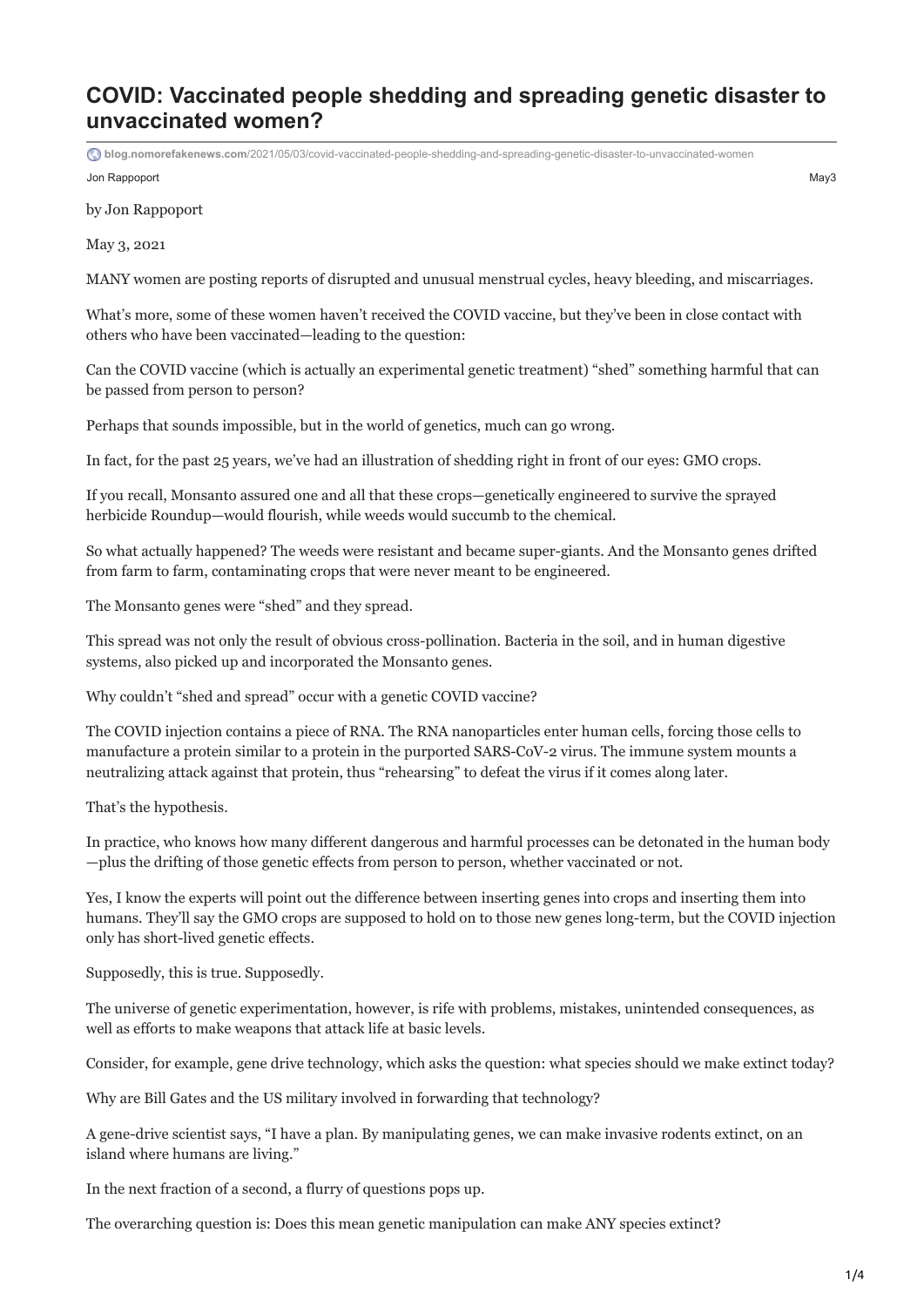## **COVID: Vaccinated people shedding and spreading genetic disaster to unvaccinated women?**

Jon Rappoport May3 **blog.nomorefakenews.com**[/2021/05/03/covid-vaccinated-people-shedding-and-spreading-genetic-disaster-to-unvaccinated-women](https://blog.nomorefakenews.com/2021/05/03/covid-vaccinated-people-shedding-and-spreading-genetic-disaster-to-unvaccinated-women/)

by Jon Rappoport

May 3, 2021

MANY women are posting reports of disrupted and unusual menstrual cycles, heavy bleeding, and miscarriages.

What's more, some of these women haven't received the COVID vaccine, but they've been in close contact with others who have been vaccinated—leading to the question:

Can the COVID vaccine (which is actually an experimental genetic treatment) "shed" something harmful that can be passed from person to person?

Perhaps that sounds impossible, but in the world of genetics, much can go wrong.

In fact, for the past 25 years, we've had an illustration of shedding right in front of our eyes: GMO crops.

If you recall, Monsanto assured one and all that these crops—genetically engineered to survive the sprayed herbicide Roundup—would flourish, while weeds would succumb to the chemical.

So what actually happened? The weeds were resistant and became super-giants. And the Monsanto genes drifted from farm to farm, contaminating crops that were never meant to be engineered.

The Monsanto genes were "shed" and they spread.

This spread was not only the result of obvious cross-pollination. Bacteria in the soil, and in human digestive systems, also picked up and incorporated the Monsanto genes.

Why couldn't "shed and spread" occur with a genetic COVID vaccine?

The COVID injection contains a piece of RNA. The RNA nanoparticles enter human cells, forcing those cells to manufacture a protein similar to a protein in the purported SARS-CoV-2 virus. The immune system mounts a neutralizing attack against that protein, thus "rehearsing" to defeat the virus if it comes along later.

That's the hypothesis.

In practice, who knows how many different dangerous and harmful processes can be detonated in the human body —plus the drifting of those genetic effects from person to person, whether vaccinated or not.

Yes, I know the experts will point out the difference between inserting genes into crops and inserting them into humans. They'll say the GMO crops are supposed to hold on to those new genes long-term, but the COVID injection only has short-lived genetic effects.

Supposedly, this is true. Supposedly.

The universe of genetic experimentation, however, is rife with problems, mistakes, unintended consequences, as well as efforts to make weapons that attack life at basic levels.

Consider, for example, gene drive technology, which asks the question: what species should we make extinct today?

Why are Bill Gates and the US military involved in forwarding that technology?

A gene-drive scientist says, "I have a plan. By manipulating genes, we can make invasive rodents extinct, on an island where humans are living."

In the next fraction of a second, a flurry of questions pops up.

The overarching question is: Does this mean genetic manipulation can make ANY species extinct?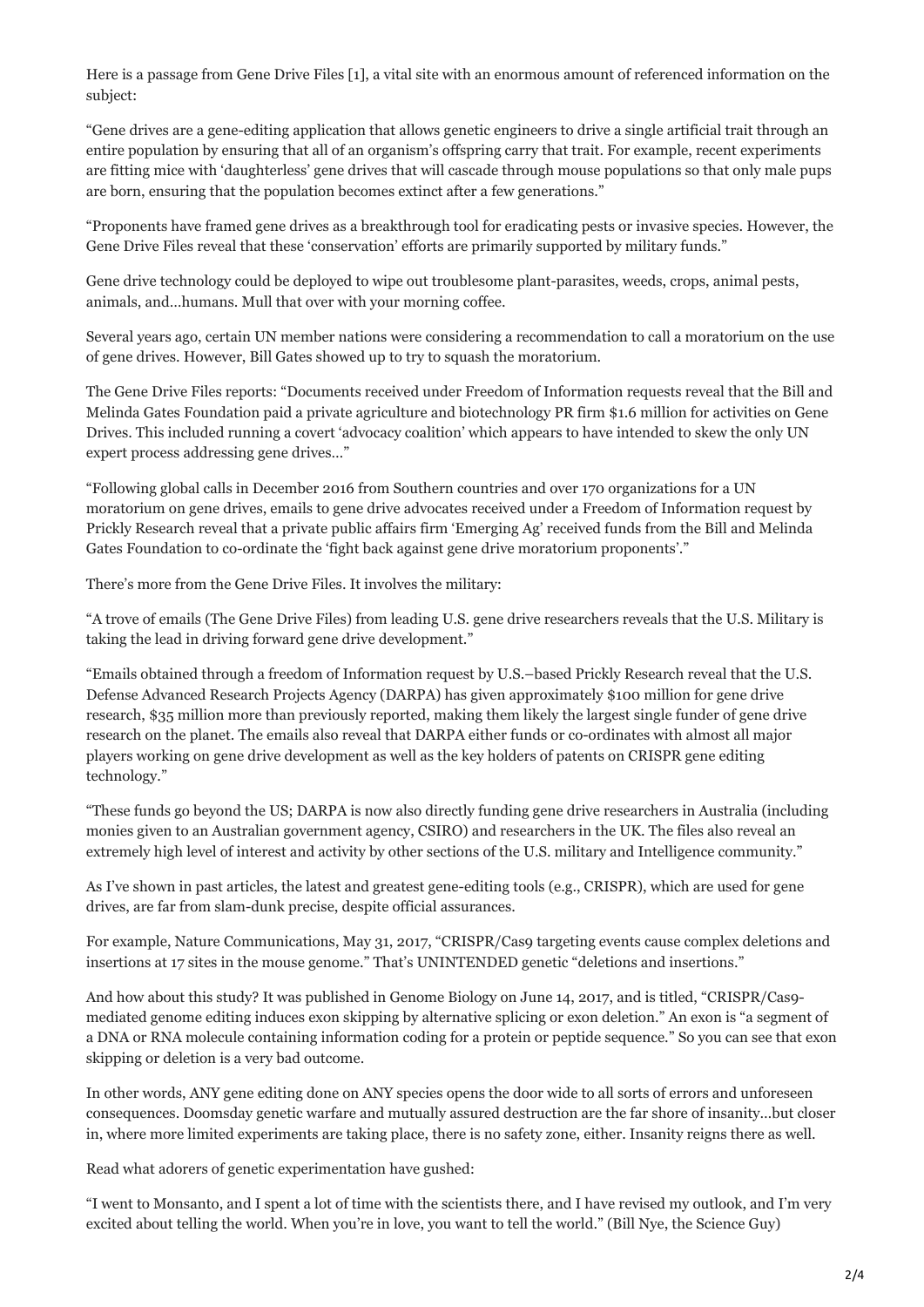Here is a passage from Gene Drive Files [1], a vital site with an enormous amount of referenced information on the subject:

"Gene drives are a gene-editing application that allows genetic engineers to drive a single artificial trait through an entire population by ensuring that all of an organism's offspring carry that trait. For example, recent experiments are fitting mice with 'daughterless' gene drives that will cascade through mouse populations so that only male pups are born, ensuring that the population becomes extinct after a few generations."

"Proponents have framed gene drives as a breakthrough tool for eradicating pests or invasive species. However, the Gene Drive Files reveal that these 'conservation' efforts are primarily supported by military funds."

Gene drive technology could be deployed to wipe out troublesome plant-parasites, weeds, crops, animal pests, animals, and…humans. Mull that over with your morning coffee.

Several years ago, certain UN member nations were considering a recommendation to call a moratorium on the use of gene drives. However, Bill Gates showed up to try to squash the moratorium.

The Gene Drive Files reports: "Documents received under Freedom of Information requests reveal that the Bill and Melinda Gates Foundation paid a private agriculture and biotechnology PR firm \$1.6 million for activities on Gene Drives. This included running a covert 'advocacy coalition' which appears to have intended to skew the only UN expert process addressing gene drives…"

"Following global calls in December 2016 from Southern countries and over 170 organizations for a UN moratorium on gene drives, emails to gene drive advocates received under a Freedom of Information request by Prickly Research reveal that a private public affairs firm 'Emerging Ag' received funds from the Bill and Melinda Gates Foundation to co-ordinate the 'fight back against gene drive moratorium proponents'."

There's more from the Gene Drive Files. It involves the military:

"A trove of emails (The Gene Drive Files) from leading U.S. gene drive researchers reveals that the U.S. Military is taking the lead in driving forward gene drive development."

"Emails obtained through a freedom of Information request by U.S.–based Prickly Research reveal that the U.S. Defense Advanced Research Projects Agency (DARPA) has given approximately \$100 million for gene drive research, \$35 million more than previously reported, making them likely the largest single funder of gene drive research on the planet. The emails also reveal that DARPA either funds or co-ordinates with almost all major players working on gene drive development as well as the key holders of patents on CRISPR gene editing technology."

"These funds go beyond the US; DARPA is now also directly funding gene drive researchers in Australia (including monies given to an Australian government agency, CSIRO) and researchers in the UK. The files also reveal an extremely high level of interest and activity by other sections of the U.S. military and Intelligence community."

As I've shown in past articles, the latest and greatest gene-editing tools (e.g., CRISPR), which are used for gene drives, are far from slam-dunk precise, despite official assurances.

For example, Nature Communications, May 31, 2017, "CRISPR/Cas9 targeting events cause complex deletions and insertions at 17 sites in the mouse genome." That's UNINTENDED genetic "deletions and insertions."

And how about this study? It was published in Genome Biology on June 14, 2017, and is titled, "CRISPR/Cas9 mediated genome editing induces exon skipping by alternative splicing or exon deletion." An exon is "a segment of a DNA or RNA molecule containing information coding for a protein or peptide sequence." So you can see that exon skipping or deletion is a very bad outcome.

In other words, ANY gene editing done on ANY species opens the door wide to all sorts of errors and unforeseen consequences. Doomsday genetic warfare and mutually assured destruction are the far shore of insanity…but closer in, where more limited experiments are taking place, there is no safety zone, either. Insanity reigns there as well.

Read what adorers of genetic experimentation have gushed:

"I went to Monsanto, and I spent a lot of time with the scientists there, and I have revised my outlook, and I'm very excited about telling the world. When you're in love, you want to tell the world." (Bill Nye, the Science Guy)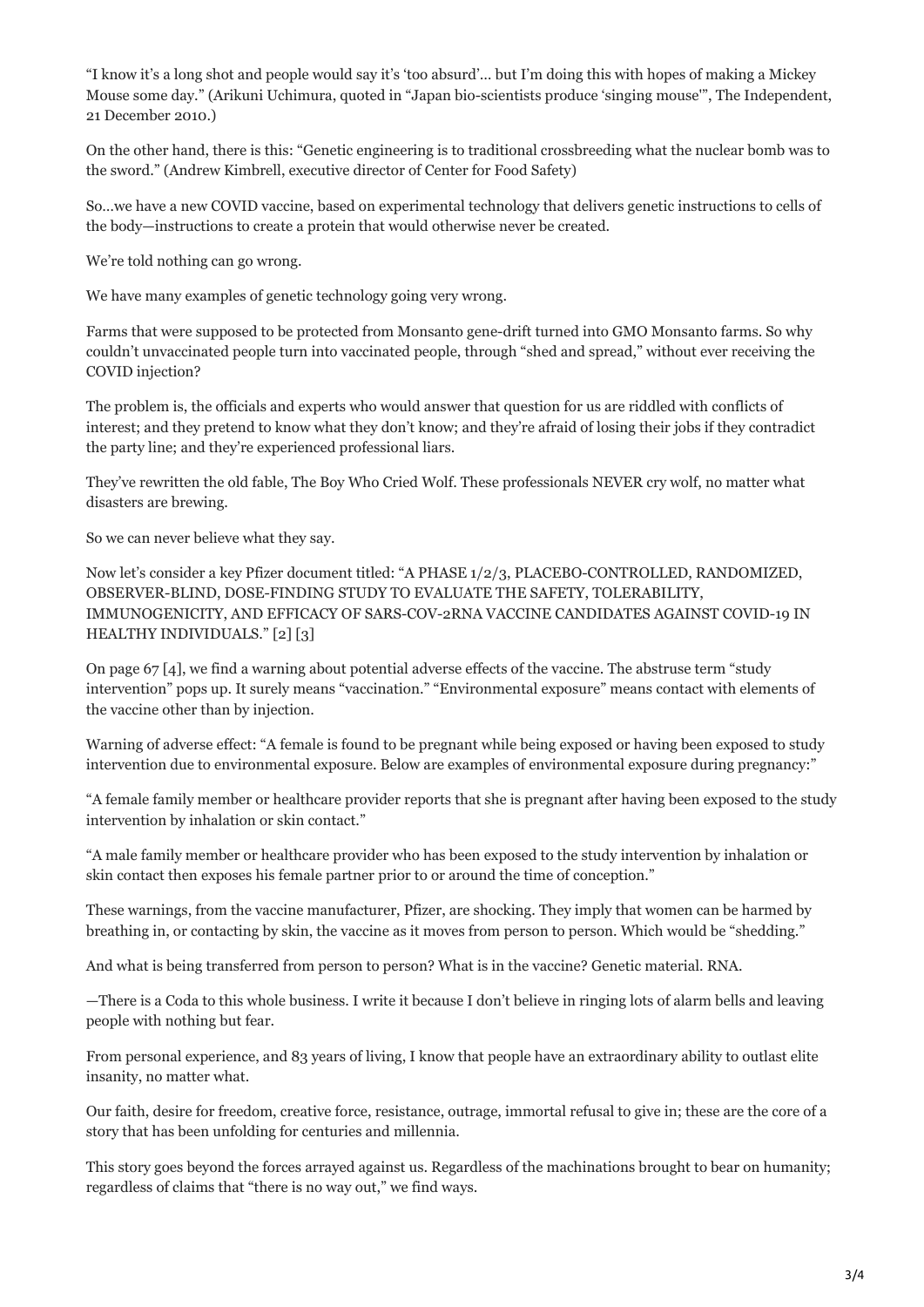"I know it's a long shot and people would say it's 'too absurd'… but I'm doing this with hopes of making a Mickey Mouse some day." (Arikuni Uchimura, quoted in "Japan bio-scientists produce 'singing mouse'", The Independent, 21 December 2010.)

On the other hand, there is this: "Genetic engineering is to traditional crossbreeding what the nuclear bomb was to the sword." (Andrew Kimbrell, executive director of Center for Food Safety)

So…we have a new COVID vaccine, based on experimental technology that delivers genetic instructions to cells of the body—instructions to create a protein that would otherwise never be created.

We're told nothing can go wrong.

We have many examples of genetic technology going very wrong.

Farms that were supposed to be protected from Monsanto gene-drift turned into GMO Monsanto farms. So why couldn't unvaccinated people turn into vaccinated people, through "shed and spread," without ever receiving the COVID injection?

The problem is, the officials and experts who would answer that question for us are riddled with conflicts of interest; and they pretend to know what they don't know; and they're afraid of losing their jobs if they contradict the party line; and they're experienced professional liars.

They've rewritten the old fable, The Boy Who Cried Wolf. These professionals NEVER cry wolf, no matter what disasters are brewing.

So we can never believe what they say.

Now let's consider a key Pfizer document titled: "A PHASE 1/2/3, PLACEBO-CONTROLLED, RANDOMIZED, OBSERVER-BLIND, DOSE-FINDING STUDY TO EVALUATE THE SAFETY, TOLERABILITY, IMMUNOGENICITY, AND EFFICACY OF SARS-COV-2RNA VACCINE CANDIDATES AGAINST COVID-19 IN HEALTHY INDIVIDUALS." [2] [3]

On page 67 [4], we find a warning about potential adverse effects of the vaccine. The abstruse term "study intervention" pops up. It surely means "vaccination." "Environmental exposure" means contact with elements of the vaccine other than by injection.

Warning of adverse effect: "A female is found to be pregnant while being exposed or having been exposed to study intervention due to environmental exposure. Below are examples of environmental exposure during pregnancy:"

"A female family member or healthcare provider reports that she is pregnant after having been exposed to the study intervention by inhalation or skin contact."

"A male family member or healthcare provider who has been exposed to the study intervention by inhalation or skin contact then exposes his female partner prior to or around the time of conception."

These warnings, from the vaccine manufacturer, Pfizer, are shocking. They imply that women can be harmed by breathing in, or contacting by skin, the vaccine as it moves from person to person. Which would be "shedding."

And what is being transferred from person to person? What is in the vaccine? Genetic material. RNA.

—There is a Coda to this whole business. I write it because I don't believe in ringing lots of alarm bells and leaving people with nothing but fear.

From personal experience, and 83 years of living, I know that people have an extraordinary ability to outlast elite insanity, no matter what.

Our faith, desire for freedom, creative force, resistance, outrage, immortal refusal to give in; these are the core of a story that has been unfolding for centuries and millennia.

This story goes beyond the forces arrayed against us. Regardless of the machinations brought to bear on humanity; regardless of claims that "there is no way out," we find ways.